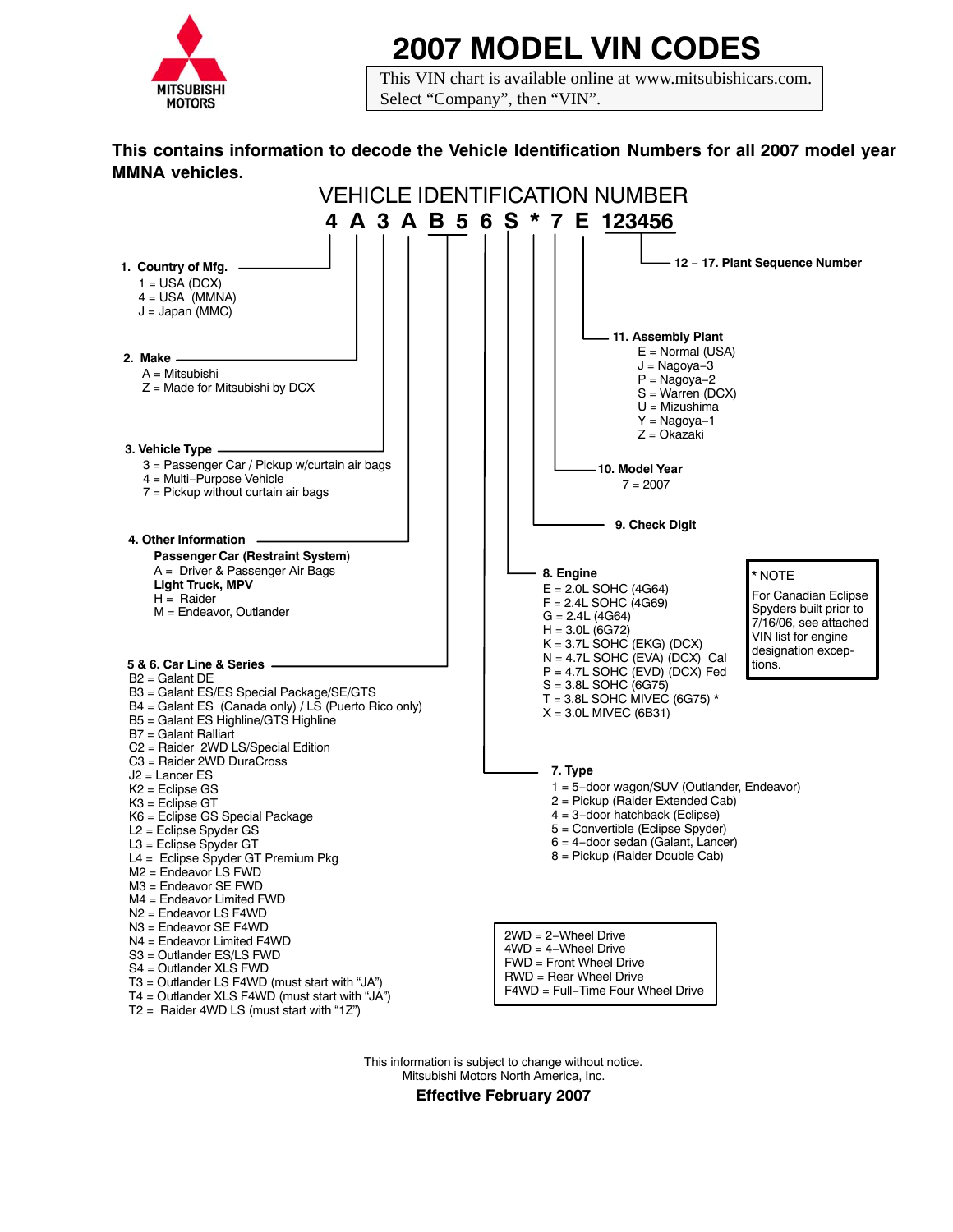

## **2007 MODEL VIN CODES**

This VIN chart is available online at www.mitsubishicars.com. Select "Company", then "VIN".

## **This contains information to decode the Vehicle Identification Numbers for all 2007 model year MMNA vehicles.**

| <b>VEHICLE IDENTIFICATION NUMBER</b>                                                                                                                                                                                                                                                                                    |                                                                                                                                                                                                                                                     |  |
|-------------------------------------------------------------------------------------------------------------------------------------------------------------------------------------------------------------------------------------------------------------------------------------------------------------------------|-----------------------------------------------------------------------------------------------------------------------------------------------------------------------------------------------------------------------------------------------------|--|
|                                                                                                                                                                                                                                                                                                                         | 4 A 3 A B 5 6 S * 7 E 123456                                                                                                                                                                                                                        |  |
| 1. Country of Mfg.<br>$1 = USA (DCX)$<br>$4 = USA$ (MMNA)<br>$J =$ Japan (MMC)                                                                                                                                                                                                                                          | - 12 - 17. Plant Sequence Number<br>- 11. Assembly Plant                                                                                                                                                                                            |  |
| 2. Make $-$<br>$A =$ Mitsubishi<br>$Z =$ Made for Mitsubishi by DCX                                                                                                                                                                                                                                                     | $E =$ Normal (USA)<br>J = Nagoya-3<br>$P = Nagoya-2$<br>$S = Warren (DCX)$<br>$U = Mizushima$<br>$Y = Nagoya-1$                                                                                                                                     |  |
| 3. Vehicle Type —————<br>3 = Passenger Car / Pickup w/curtain air bags<br>4 = Multi-Purpose Vehicle<br>$7$ = Pickup without curtain air bags                                                                                                                                                                            | $Z = O$ kazaki<br>10. Model Year<br>$7 = 2007$                                                                                                                                                                                                      |  |
| 4. Other Information                                                                                                                                                                                                                                                                                                    | 9. Check Digit                                                                                                                                                                                                                                      |  |
| Passenger Car (Restraint System)<br>A = Driver & Passenger Air Bags<br><b>Light Truck, MPV</b><br>$H =$ Raider<br>$M =$ Endeavor, Outlander                                                                                                                                                                             | 8. Engine<br>* NOTE<br>$E = 2.0$ L SOHC (4G64)<br>For Canadian Eclipse<br>$F = 2.4L$ SOHC (4G69)<br>Spyders built prior to<br>$G = 2.4L (4G64)$<br>7/16/06, see attached<br>$H = 3.0L (6G72)$<br>VIN list for engine<br>$K = 3.7L$ SOHC (EKG) (DCX) |  |
| 5 & 6. Car Line & Series -<br>$B2 =$ Galant DE<br>B3 = Galant ES/ES Special Package/SE/GTS<br>B4 = Galant ES (Canada only) / LS (Puerto Rico only)<br>B5 = Galant ES Highline/GTS Highline<br>$B7 =$ Galant Ralliart                                                                                                    | designation excep-<br>$N = 4.7L$ SOHC (EVA) (DCX) Cal<br>tions.<br>$P = 4.7L$ SOHC (EVD) (DCX) Fed<br>$S = 3.8L$ SOHC (6G75)<br>T = 3.8L SOHC MIVEC (6G75) $*$<br>$X = 3.0$ L MIVEC (6B31)                                                          |  |
| C2 = Raider 2WD LS/Special Edition<br>C3 = Raider 2WD DuraCross<br>$J2$ = Lancer ES<br>$K2 =$ Eclipse GS<br>$K3$ = Eclipse GT<br>K6 = Eclipse GS Special Package<br>$L2$ = Eclipse Spyder GS<br>L3 = Eclipse Spyder GT<br>L4 = Eclipse Spyder GT Premium Pkg<br>$M2$ = Endeavor LS FWD<br>M3 = Endeavor SE FWD          | 7. Type<br>1 = 5-door wagon/SUV (Outlander, Endeavor)<br>2 = Pickup (Raider Extended Cab)<br>$4 = 3$ -door hatchback (Eclipse)<br>5 = Convertible (Eclipse Spyder)<br>6 = 4-door sedan (Galant, Lancer)<br>8 = Pickup (Raider Double Cab)           |  |
| M4 = Endeavor Limited FWD<br>$N2$ = Endeavor LS F4WD<br>N3 = Endeavor SE F4WD<br>N4 = Endeavor Limited F4WD<br>S3 = Outlander ES/LS FWD<br>S4 = Outlander XLS FWD<br>$T3$ = Outlander LS F4WD (must start with "JA")<br>$T4 =$ Outlander XLS F4WD (must start with "JA")<br>$T2 =$ Raider 4WD LS (must start with "1Z") | $2WD = 2-Wheel$ Drive<br>$4WD = 4-Wheel$ Drive<br>$FWD =$ Front Wheel Drive<br>$RWD = Rear$ Wheel Drive<br>F4WD = Full-Time Four Wheel Drive                                                                                                        |  |

This information is subject to change without notice. Mitsubishi Motors North America, Inc.

**Effective February 2007**